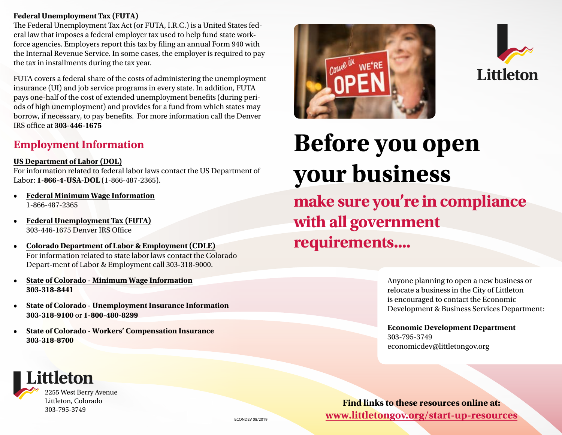#### **[Federal Unemployment Tax \(FUTA\)](http://www.irs.gov/Individuals/International-Taxpayers/Federal-Unemployment-Tax)**

The Federal Unemployment Tax Act (or FUTA, I.R.C.) is a United States federal law that imposes a federal employer tax used to help fund state workforce agencies. Employers report this tax by filing an annual Form 940 with the Internal Revenue Service. In some cases, the employer is required to pay the tax in installments during the tax year.

FUTA covers a federal share of the costs of administering the unemployment insurance (UI) and job service programs in every state. In addition, FUTA pays one-half of the cost of extended unemployment benefits (during periods of high unemployment) and provides for a fund from which states may borrow, if necessary, to pay benefits. For more information call the Denver IRS office at **303-446-1675**

## **Employment Information**

### **[US Department of Labor \(DOL\)](https://www.dol.gov/)**

For information related to federal labor laws contact the US Department of Labor: **1-866-4-USA-DOL** (1-866-487-2365).

- **• [Federal Minimum Wage Information](https://www.dol.gov/general/topic/wages/minimumwage)** 1-866-487-2365
- **• [Federal Unemployment Tax \(FUTA\)](https://www.irs.gov/individuals/international-taxpayers/federal-unemployment-tax)** 303-446-1675 Denver IRS Office
- **• [Colorado Department of Labor & Employment \(CDLE\)](https://www.colorado.gov/cdle)** For information related to state labor laws contact the Colorado Depart-ment of Labor & Employment call 303-318-9000.
- **• [State of Colorado Minimum Wage Information](https://www.colorado.gov/cdle/minimumwage) 303-318-8441**
- **• [State of Colorado Unemployment Insurance Information](https://www.colorado.gov/cdle/unemployment) 303-318-9100** or **1-800-480-8299**
- **• [State of Colorado Workers' Compensation Insurance](https://www.colorado.gov/cdle/dwc) 303-318-8700**







# **Before you open your business**

**make sure you're in compliance with all government requirements....**

> Anyone planning to open a new business or relocate a business in the City of Littleton is encouraged to contact the Economic Development & Business Services Department:

**Economic Development Department** 303-795-3749 [economicdev@littletongov.org](mailto:economicdev@littletongov.org)

**Find links to these resources online at:**  ECONDEV 08/2019 **[www.littletongov.org/start-up-resources](https://www.littletongov.org/business-resources/business-resources-services/starting-a-business/start-up-government-compliance)**